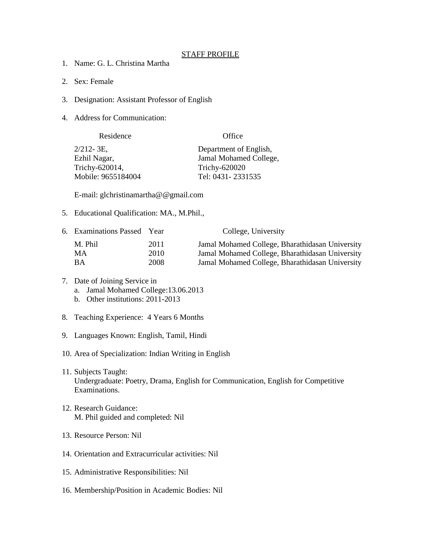## STAFF PROFILE

- 1. Name: G. L. Christina Martha
- 2. Sex: Female
- 3. Designation: Assistant Professor of English
- 4. Address for Communication:

| Residence          | Office                 |
|--------------------|------------------------|
| 2/212-3E,          | Department of English, |
| Ezhil Nagar,       | Jamal Mohamed College, |
| Trichy-620014,     | Trichy-620020          |
| Mobile: 9655184004 | Tel: 0431 - 2331535    |

E-mail: glchristinamartha@@gmail.com

5. Educational Qualification: MA., M.Phil.,

| 6. Examinations Passed Year |      | College, University                             |
|-----------------------------|------|-------------------------------------------------|
| M. Phil                     | 2011 | Jamal Mohamed College, Bharathidasan University |
| MA                          | 2010 | Jamal Mohamed College, Bharathidasan University |
| ВA                          | 2008 | Jamal Mohamed College, Bharathidasan University |

- 7. Date of Joining Service in
	- a. Jamal Mohamed College:13.06.2013
	- b. Other institutions: 2011-2013
- 8. Teaching Experience: 4 Years 6 Months
- 9. Languages Known: English, Tamil, Hindi
- 10. Area of Specialization: Indian Writing in English
- 11. Subjects Taught: Undergraduate: Poetry, Drama, English for Communication, English for Competitive Examinations.
- 12. Research Guidance: M. Phil guided and completed: Nil
- 13. Resource Person: Nil
- 14. Orientation and Extracurricular activities: Nil
- 15. Administrative Responsibilities: Nil
- 16. Membership/Position in Academic Bodies: Nil